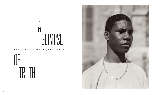What novelist *Elizabeth Strout* sees in Judith Joy Ross's arresting portraits

OF<br>J TRUTH



## A GLIMPSE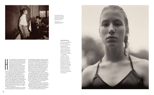

 $\begin{array}{c}\n\hline\n\end{array}$   $\begin{array}{c}\n\hline\n\end{array}$   $\begin{array}{c}\n\hline\n\end{array}$   $\begin{array}{c}\n\hline\n\end{array}$ ere is a thing I have always believed to be true about ordinary people: inside each one of us is an entire world, a universe of emotions and reactions and ambiguities and confusions. And yet there is something in this mess of stuff we have inside ourselves that is *honest*. But only a small part of that ever gets shown to the outer world. This inner world of our honest self, colliding constantly with

the outer world, is what interests me as a fiction writer, along with my deep and abiding desire to know what it feels like to be another person.

In the photographs of Judith Joy Ross, we are allowed a glimpse of truth into who the person is that she is photographing. And what a thing! To see with our own eyes into the honest self of another! These photographs are breathtaking and glorious in their ability to capture what would seem to be uncapturable. It must be Ross's sense of wonder that has made it possible for her to do this. Her apparently fathomless sense of wonder and curiosity of what – for a moment – it might feel like to be *that* person.

A man leans against a blackboard ("Mr. Adam Rutski, Spanish teacher, Hazleton High School").

THIS SPREAD, FROM LEFT: 'MR. ADAM RUTSKI, SPANISH TEACHER, HAZLETON HIGH SCHOOL', 1992; 'UNTITLED, EURANA PARK, WEATHERLY, PENNSYLVANIA', 1985

PREVIOUS PAGE: 'NORTHEAST PHILADELPHIA, PENNSYLVANIA', 1999

He is holding a piece of paper in his hand, and to see him in this photograph is to all but know him. His haircut, the tip of his nose in its profile, his tie, his trousers – one can almost feel the fabric of these trousers – all this makes him feel to me to be profoundly familiar. His gaze, which is not at the camera, connotes a slight fatigue, a sense of chronic world-weariness, and yet an acceptance of that fate as well. I stare at him and believe that I know him. Not because he reminds me of anyone I know, but because he is *himself*.

In "Untitled", taken at the Vietnam Veterans Memorial, Washington DC in 1984, we see the face of a young boy/man on the cusp of understanding his position in the world, and Ross has captured something ineffable in the poignancy of this face. The face is honest, it is *his* face. I keep looking at that face and thinking: "Oh!" And what I mean by that is: So this is you, this is really, *really* you.

And how does Ross do this?

By caring deeply for her subject and somehow letting that person know she holds no judgment, is only there to experience them for a few moments, and so gains their trust in some essential way.

Three young girls in bathing suits stand eating ice cream bars ("Untitled, Eurana Park, **▶**

## About the artist

*For 40 years, Judith Joy Ross has captured scenes of everyday life on large-format cameras. Her subjects – often working-class people in northeastern Pennsylvania, where she is from and still lives – are children, teenagers, workers, anti-war protestors, members of Congress. Her work has been exhibited at museums including MoMA, the San Francisco Museum of Modern Art and the National Gallery of Canada. In 2017, she was awarded the Lucie Award for Achievement in Portraiture.* 

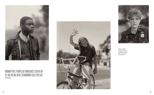



FROM LEFT: 'UNTITLED,<br>VIETNAM VETERANS<br>MEMORIAL, WASHINGTON,<br>DC', 1984; 'FIFTH STREET,<br>BETHLEHEM, PENNSYLVANIA',<br>1996; AND 'OFFICER JOAN<br>FENNSYLVANIA', 1990<br>PENNSYLVANIA', 1990





## 'ORDINARY PEOPLE, PERHAPS, BUT THROUGH ROSS'S LENS WE CAN SEE THAT THEY ARE, IN FACT, EXTRAORDINARY, AS ALL PEOPLE ARE' ELIZABETH STROUT